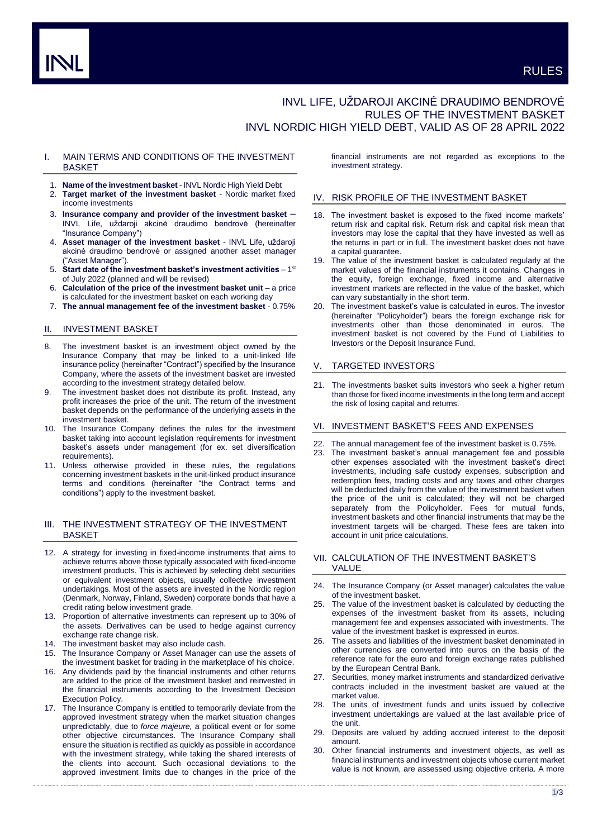# INVL LIFE, UŽDAROJI AKCINĖ DRAUDIMO BENDROVĖ RULES OF THE INVESTMENT BASKET INVL NORDIC HIGH YIELD DEBT, VALID AS OF 28 APRIL 2022

### I. MAIN TERMS AND CONDITIONS OF THE INVESTMENT **BASKET**

- 1. **Name of the investment basket** INVL Nordic High Yield Debt
- 2. **Target market of the investment basket** Nordic market fixed income investments
- 3. **Insurance company and provider of the investment basket** INVL Life, uždaroji akcinė draudimo bendrovė (hereinafter "Insurance Company")
- 4. **Asset manager of the investment basket** INVL Life, uždaroji akcinė draudimo bendrovė or assigned another asset manager ("Asset Manager").
- 5. Start date of the investment basket's investment activities 1<sup>st</sup> of July 2022 (planned and will be revised)
- 6. **Calculation of the price of the investment basket unit**  a price is calculated for the investment basket on each working day
- 7. **The annual management fee of the investment basket** 0.75%

### II. INVESTMENT BASKET

- 8. The investment basket is an investment object owned by the Insurance Company that may be linked to a unit-linked life insurance policy (hereinafter "Contract") specified by the Insurance Company, where the assets of the investment basket are invested according to the investment strategy detailed below.
- 9. The investment basket does not distribute its profit. Instead, any profit increases the price of the unit. The return of the investment basket depends on the performance of the underlying assets in the investment basket.
- 10. The Insurance Company defines the rules for the investment basket taking into account legislation requirements for investment basket's assets under management (for ex. set diversification requirements).
- 11. Unless otherwise provided in these rules, the regulations concerning investment baskets in the unit-linked product insurance terms and conditions (hereinafter "the Contract terms and conditions") apply to the investment basket.

# III. THE INVESTMENT STRATEGY OF THE INVESTMENT BASKET

- 12. A strategy for investing in fixed-income instruments that aims to achieve returns above those typically associated with fixed-income investment products. This is achieved by selecting debt securities or equivalent investment objects, usually collective investment undertakings. Most of the assets are invested in the Nordic region (Denmark, Norway, Finland, Sweden) corporate bonds that have a credit rating below investment grade.
- 13. Proportion of alternative investments can represent up to 30% of the assets. Derivatives can be used to hedge against currency exchange rate change risk.
- 14. The investment basket may also include cash.
- 15. The Insurance Company or Asset Manager can use the assets of the investment basket for trading in the marketplace of his choice.
- 16. Any dividends paid by the financial instruments and other returns are added to the price of the investment basket and reinvested in the financial instruments according to the Investment Decision Execution Policy.
- 17. The Insurance Company is entitled to temporarily deviate from the approved investment strategy when the market situation changes unpredictably, due to *force majeure,* a political event or for some other objective circumstances. The Insurance Company shall ensure the situation is rectified as quickly as possible in accordance with the investment strategy, while taking the shared interests of the clients into account. Such occasional deviations to the approved investment limits due to changes in the price of the

financial instruments are not regarded as exceptions to the investment strategy.

### IV. RISK PROFILE OF THE INVESTMENT BASKET

- 18. The investment basket is exposed to the fixed income markets' return risk and capital risk. Return risk and capital risk mean that investors may lose the capital that they have invested as well as the returns in part or in full. The investment basket does not have a capital guarantee.
- 19. The value of the investment basket is calculated regularly at the market values of the financial instruments it contains. Changes in the equity, foreign exchange, fixed income and alternative investment markets are reflected in the value of the basket, which can vary substantially in the short term.
- 20. The investment basket's value is calculated in euros. The investor (hereinafter "Policyholder") bears the foreign exchange risk for investments other than those denominated in euros. The investment basket is not covered by the Fund of Liabilities to Investors or the Deposit Insurance Fund.

# V. TARGETED INVESTORS

21. The investments basket suits investors who seek a higher return than those for fixed income investments in the long term and accept the risk of losing capital and returns.

# VI. INVESTMENT BASKET'S FEES AND EXPENSES

- The annual management fee of the investment basket is 0.75%.
- 23. The investment basket's annual management fee and possible other expenses associated with the investment basket's direct investments, including safe custody expenses, subscription and redemption fees, trading costs and any taxes and other charges will be deducted daily from the value of the investment basket when the price of the unit is calculated; they will not be charged separately from the Policyholder. Fees for mutual funds, investment baskets and other financial instruments that may be the investment targets will be charged. These fees are taken into account in unit price calculations.

### VII. CALCULATION OF THE INVESTMENT BASKET'S VALUE

- 24. The Insurance Company (or Asset manager) calculates the value of the investment basket.
- 25. The value of the investment basket is calculated by deducting the expenses of the investment basket from its assets, including management fee and expenses associated with investments. The value of the investment basket is expressed in euros.
- 26. The assets and liabilities of the investment basket denominated in other currencies are converted into euros on the basis of the reference rate for the euro and foreign exchange rates published by the European Central Bank.
- 27. Securities, money market instruments and standardized derivative contracts included in the investment basket are valued at the market value.
- 28. The units of investment funds and units issued by collective investment undertakings are valued at the last available price of the unit.
- 29. Deposits are valued by adding accrued interest to the deposit amount.
- 30. Other financial instruments and investment objects, as well as financial instruments and investment objects whose current market value is not known, are assessed using objective criteria. A more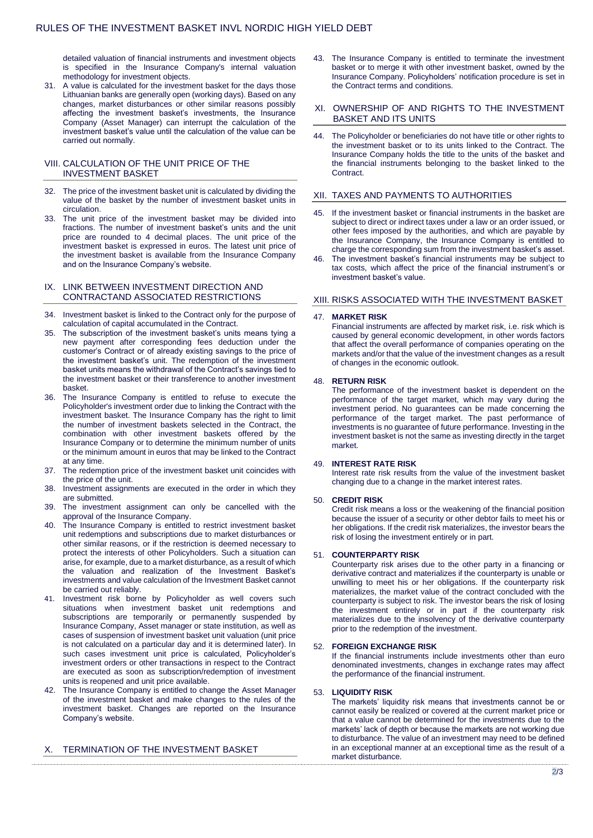detailed valuation of financial instruments and investment objects is specified in the Insurance Company's internal valuation methodology for investment objects.

31. A value is calculated for the investment basket for the days those Lithuanian banks are generally open (working days). Based on any changes, market disturbances or other similar reasons possibly affecting the investment basket's investments, the Insurance Company (Asset Manager) can interrupt the calculation of the investment basket's value until the calculation of the value can be carried out normally.

### VIII. CALCULATION OF THE UNIT PRICE OF THE INVESTMENT BASKET

- 32. The price of the investment basket unit is calculated by dividing the value of the basket by the number of investment basket units in circulation.
- 33. The unit price of the investment basket may be divided into fractions. The number of investment basket's units and the unit price are rounded to 4 decimal places. The unit price of the investment basket is expressed in euros. The latest unit price of the investment basket is available from the Insurance Company and on the Insurance Company's website.

### IX. LINK BETWEEN INVESTMENT DIRECTION AND CONTRACTAND ASSOCIATED RESTRICTIONS

- 34. Investment basket is linked to the Contract only for the purpose of calculation of capital accumulated in the Contract.
- 35. The subscription of the investment basket's units means tying a new payment after corresponding fees deduction under the customer's Contract or of already existing savings to the price of the investment basket's unit. The redemption of the investment basket units means the withdrawal of the Contract's savings tied to the investment basket or their transference to another investment basket.
- The Insurance Company is entitled to refuse to execute the Policyholder's investment order due to linking the Contract with the investment basket. The Insurance Company has the right to limit the number of investment baskets selected in the Contract, the combination with other investment baskets offered by the Insurance Company or to determine the minimum number of units or the minimum amount in euros that may be linked to the Contract at any time.
- 37. The redemption price of the investment basket unit coincides with the price of the unit.
- 38. Investment assignments are executed in the order in which they are submitted.
- 39. The investment assignment can only be cancelled with the approval of the Insurance Company.
- 40. The Insurance Company is entitled to restrict investment basket unit redemptions and subscriptions due to market disturbances or other similar reasons, or if the restriction is deemed necessary to protect the interests of other Policyholders. Such a situation can arise, for example, due to a market disturbance, as a result of which the valuation and realization of the Investment Basket's investments and value calculation of the Investment Basket cannot be carried out reliably.
- 41. Investment risk borne by Policyholder as well covers such situations when investment basket unit redemptions and subscriptions are temporarily or permanently suspended by Insurance Company, Asset manager or state institution, as well as cases of suspension of investment basket unit valuation (unit price is not calculated on a particular day and it is determined later). In such cases investment unit price is calculated, Policyholder's investment orders or other transactions in respect to the Contract are executed as soon as subscription/redemption of investment units is reopened and unit price available.
- 42. The Insurance Company is entitled to change the Asset Manager of the investment basket and make changes to the rules of the investment basket. Changes are reported on the Insurance Company's website.

# X. TERMINATION OF THE INVESTMENT BASKET

43. The Insurance Company is entitled to terminate the investment basket or to merge it with other investment basket, owned by the Insurance Company. Policyholders' notification procedure is set in the Contract terms and conditions.

### XI. OWNERSHIP OF AND RIGHTS TO THE INVESTMENT BASKET AND ITS UNITS

44. The Policyholder or beneficiaries do not have title or other rights to the investment basket or to its units linked to the Contract. The Insurance Company holds the title to the units of the basket and the financial instruments belonging to the basket linked to the Contract.

### XII. TAXES AND PAYMENTS TO AUTHORITIES

- If the investment basket or financial instruments in the basket are subject to direct or indirect taxes under a law or an order issued, or other fees imposed by the authorities, and which are payable by the Insurance Company, the Insurance Company is entitled to charge the corresponding sum from the investment basket's asset.
- 46. The investment basket's financial instruments may be subject to tax costs, which affect the price of the financial instrument's or investment basket's value.

# XIII. RISKS ASSOCIATED WITH THE INVESTMENT BASKET

#### 47. **MARKET RISK**

Financial instruments are affected by market risk, i.e. risk which is caused by general economic development, in other words factors that affect the overall performance of companies operating on the markets and/or that the value of the investment changes as a result of changes in the economic outlook.

#### 48. **RETURN RISK**

The performance of the investment basket is dependent on the performance of the target market, which may vary during the investment period. No guarantees can be made concerning the performance of the target market. The past performance of investments is no guarantee of future performance. Investing in the investment basket is not the same as investing directly in the target market.

### 49. **INTEREST RATE RISK**

Interest rate risk results from the value of the investment basket changing due to a change in the market interest rates.

### 50. **CREDIT RISK**

Credit risk means a loss or the weakening of the financial position because the issuer of a security or other debtor fails to meet his or her obligations. If the credit risk materializes, the investor bears the risk of losing the investment entirely or in part.

#### 51. **COUNTERPARTY RISK**

Counterparty risk arises due to the other party in a financing or derivative contract and materializes if the counterparty is unable or unwilling to meet his or her obligations. If the counterparty risk materializes, the market value of the contract concluded with the counterparty is subject to risk. The investor bears the risk of losing the investment entirely or in part if the counterparty risk materializes due to the insolvency of the derivative counterparty prior to the redemption of the investment.

### 52. **FOREIGN EXCHANGE RISK**

If the financial instruments include investments other than euro denominated investments, changes in exchange rates may affect the performance of the financial instrument.

#### 53. **LIQUIDITY RISK**

The markets' liquidity risk means that investments cannot be or cannot easily be realized or covered at the current market price or that a value cannot be determined for the investments due to the markets' lack of depth or because the markets are not working due to disturbance. The value of an investment may need to be defined in an exceptional manner at an exceptional time as the result of a market disturbance.